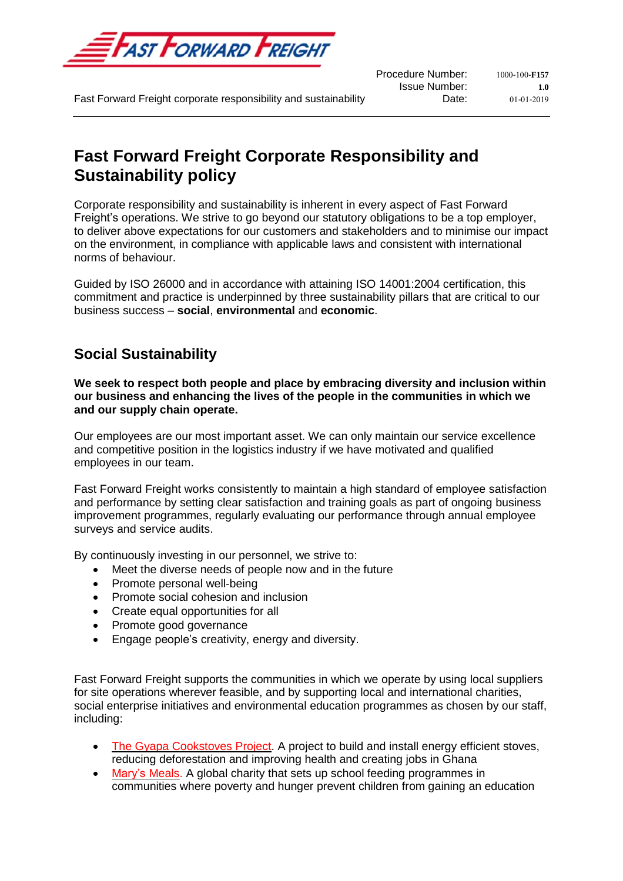

Procedure Number:  $1000 - 100 - F157$ **Issue Number: 1.0**<br>**Date: 01-01-2019** 

Fast Forward Freight corporate responsibility and sustainability **Date:** Date: 01-01-2019

# **Fast Forward Freight Corporate Responsibility and Sustainability policy**

Corporate responsibility and sustainability is inherent in every aspect of Fast Forward Freight's operations. We strive to go beyond our statutory obligations to be a top employer, to deliver above expectations for our customers and stakeholders and to minimise our impact on the environment, in compliance with applicable laws and consistent with international norms of behaviour.

Guided by ISO 26000 and in accordance with attaining ISO 14001:2004 certification, this commitment and practice is underpinned by three sustainability pillars that are critical to our business success – **social**, **environmental** and **economic**.

# **Social Sustainability**

**We seek to respect both people and place by embracing diversity and inclusion within our business and enhancing the lives of the people in the communities in which we and our supply chain operate.**

Our employees are our most important asset. We can only maintain our service excellence and competitive position in the logistics industry if we have motivated and qualified employees in our team.

Fast Forward Freight works consistently to maintain a high standard of employee satisfaction and performance by setting clear satisfaction and training goals as part of ongoing business improvement programmes, regularly evaluating our performance through annual employee surveys and service audits.

By continuously investing in our personnel, we strive to:

- Meet the diverse needs of people now and in the future
- Promote personal well-being
- Promote social cohesion and inclusion
- Create equal opportunities for all
- Promote good governance
- Engage people's creativity, energy and diversity.

Fast Forward Freight supports the communities in which we operate by using local suppliers for site operations wherever feasible, and by supporting local and international charities, social enterprise initiatives and environmental education programmes as chosen by our staff, including:

- The Gyapa [Cookstoves](https://www.goldstandard.org/projects/gyapa-cookstoves-project) Project. A project to build and install energy efficient stoves, reducing deforestation and improving health and creating jobs in Ghana
- [Mary's](https://www.marysmeals.org.uk/) Meals. A global charity that sets up school feeding programmes in communities where poverty and hunger prevent children from gaining an education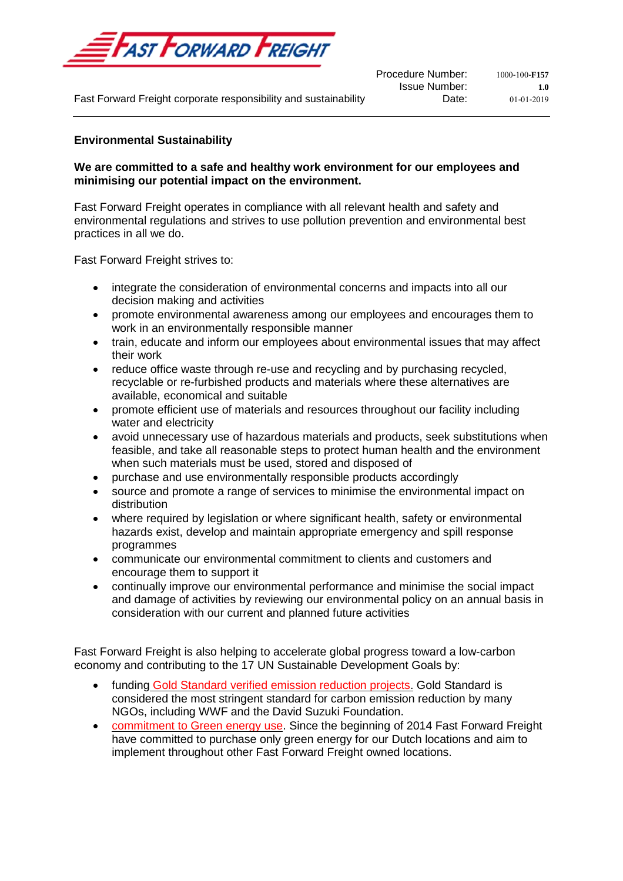

Procedure Number:  $1000-100-F157$ **Issue Number: 1.0**<br>Date: **1.0**<br>01-01-2019

Fast Forward Freight corporate responsibility and sustainability **Date:** Date: 01-01-2019

### **Environmental Sustainability**

### **We are committed to a safe and healthy work environment for our employees and minimising our potential impact on the environment.**

Fast Forward Freight operates in compliance with all relevant health and safety and environmental regulations and strives to use pollution prevention and environmental best practices in all we do.

Fast Forward Freight strives to:

- integrate the consideration of environmental concerns and impacts into all our decision making and activities
- promote environmental awareness among our employees and encourages them to work in an environmentally responsible manner
- train, educate and inform our employees about environmental issues that may affect their work
- reduce office waste through re-use and recycling and by purchasing recycled, recyclable or re-furbished products and materials where these alternatives are available, economical and suitable
- promote efficient use of materials and resources throughout our facility including water and electricity
- avoid unnecessary use of hazardous materials and products, seek substitutions when feasible, and take all reasonable steps to protect human health and the environment when such materials must be used, stored and disposed of
- purchase and use environmentally responsible products accordingly
- source and promote a range of services to minimise the environmental impact on distribution
- where required by legislation or where significant health, safety or environmental hazards exist, develop and maintain appropriate emergency and spill response programmes
- communicate our environmental commitment to clients and customers and encourage them to support it
- continually improve our environmental performance and minimise the social impact and damage of activities by reviewing our environmental policy on an annual basis in consideration with our current and planned future activities

Fast Forward Freight is also helping to accelerate global progress toward a low-carbon economy and contributing to the 17 UN Sustainable Development Goals by:

- funding Gold Standard verified emission [reduction](https://www.goldstandard.org/take-action/offset-your-emissions) projects. Gold Standard is considered the most stringent standard for carbon emission reduction by many NGOs, including WWF and the David Suzuki Foundation.
- [commitment](https://www.fastforwardfreight.com/Company/AboutUs) to Green energy use. Since the beginning of 2014 Fast Forward Freight have committed to purchase only green energy for our Dutch locations and aim to implement throughout other Fast Forward Freight owned locations.